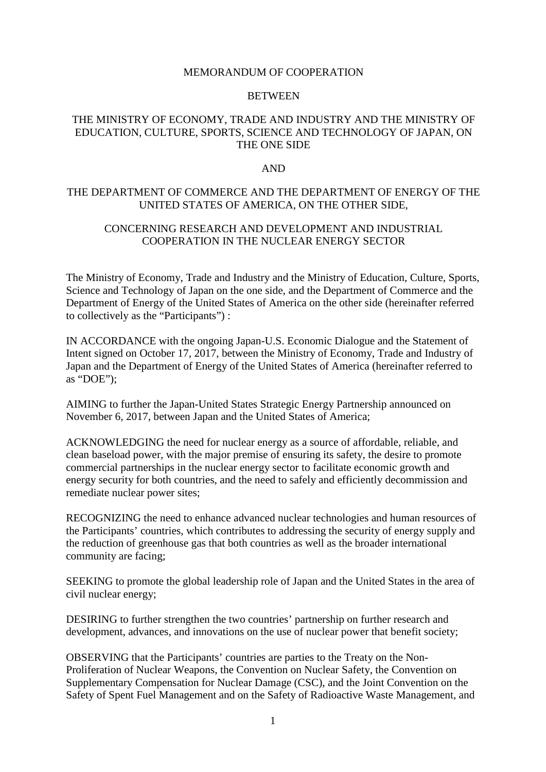#### MEMORANDUM OF COOPERATION

#### **BETWEEN**

## THE MINISTRY OF ECONOMY, TRADE AND INDUSTRY AND THE MINISTRY OF EDUCATION, CULTURE, SPORTS, SCIENCE AND TECHNOLOGY OF JAPAN, ON THE ONE SIDE

#### AND

### THE DEPARTMENT OF COMMERCE AND THE DEPARTMENT OF ENERGY OF THE UNITED STATES OF AMERICA, ON THE OTHER SIDE,

## CONCERNING RESEARCH AND DEVELOPMENT AND INDUSTRIAL COOPERATION IN THE NUCLEAR ENERGY SECTOR

The Ministry of Economy, Trade and Industry and the Ministry of Education, Culture, Sports, Science and Technology of Japan on the one side, and the Department of Commerce and the Department of Energy of the United States of America on the other side (hereinafter referred to collectively as the "Participants") :

IN ACCORDANCE with the ongoing Japan-U.S. Economic Dialogue and the Statement of Intent signed on October 17, 2017, between the Ministry of Economy, Trade and Industry of Japan and the Department of Energy of the United States of America (hereinafter referred to as "DOE");

AIMING to further the Japan-United States Strategic Energy Partnership announced on November 6, 2017, between Japan and the United States of America;

ACKNOWLEDGING the need for nuclear energy as a source of affordable, reliable, and clean baseload power, with the major premise of ensuring its safety, the desire to promote commercial partnerships in the nuclear energy sector to facilitate economic growth and energy security for both countries, and the need to safely and efficiently decommission and remediate nuclear power sites;

RECOGNIZING the need to enhance advanced nuclear technologies and human resources of the Participants' countries, which contributes to addressing the security of energy supply and the reduction of greenhouse gas that both countries as well as the broader international community are facing;

SEEKING to promote the global leadership role of Japan and the United States in the area of civil nuclear energy;

DESIRING to further strengthen the two countries' partnership on further research and development, advances, and innovations on the use of nuclear power that benefit society;

OBSERVING that the Participants' countries are parties to the Treaty on the Non-Proliferation of Nuclear Weapons, the Convention on Nuclear Safety, the Convention on Supplementary Compensation for Nuclear Damage (CSC), and the Joint Convention on the Safety of Spent Fuel Management and on the Safety of Radioactive Waste Management, and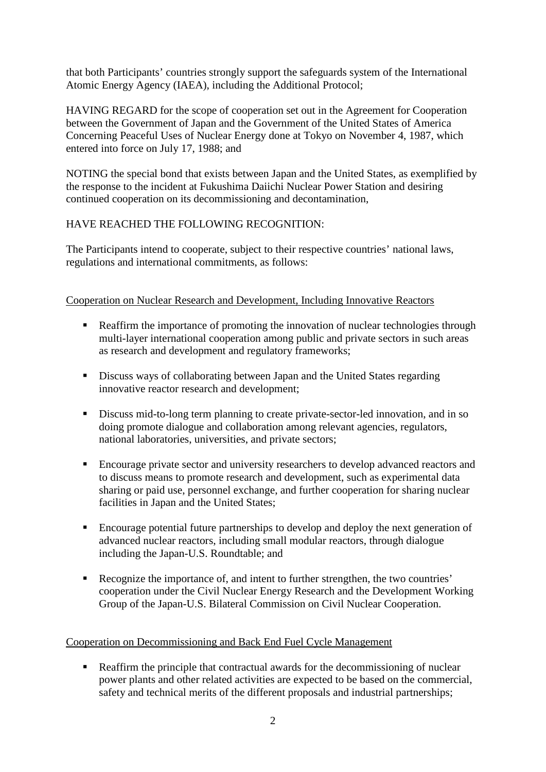that both Participants' countries strongly support the safeguards system of the International Atomic Energy Agency (IAEA), including the Additional Protocol;

HAVING REGARD for the scope of cooperation set out in the Agreement for Cooperation between the Government of Japan and the Government of the United States of America Concerning Peaceful Uses of Nuclear Energy done at Tokyo on November 4, 1987, which entered into force on July 17, 1988; and

NOTING the special bond that exists between Japan and the United States, as exemplified by the response to the incident at Fukushima Daiichi Nuclear Power Station and desiring continued cooperation on its decommissioning and decontamination,

## HAVE REACHED THE FOLLOWING RECOGNITION:

The Participants intend to cooperate, subject to their respective countries' national laws, regulations and international commitments, as follows:

## Cooperation on Nuclear Research and Development, Including Innovative Reactors

- Reaffirm the importance of promoting the innovation of nuclear technologies through multi-layer international cooperation among public and private sectors in such areas as research and development and regulatory frameworks;
- Discuss ways of collaborating between Japan and the United States regarding innovative reactor research and development;
- Discuss mid-to-long term planning to create private-sector-led innovation, and in so doing promote dialogue and collaboration among relevant agencies, regulators, national laboratories, universities, and private sectors;
- Encourage private sector and university researchers to develop advanced reactors and to discuss means to promote research and development, such as experimental data sharing or paid use, personnel exchange, and further cooperation for sharing nuclear facilities in Japan and the United States;
- Encourage potential future partnerships to develop and deploy the next generation of advanced nuclear reactors, including small modular reactors, through dialogue including the Japan-U.S. Roundtable; and
- Recognize the importance of, and intent to further strengthen, the two countries' cooperation under the Civil Nuclear Energy Research and the Development Working Group of the Japan-U.S. Bilateral Commission on Civil Nuclear Cooperation.

## Cooperation on Decommissioning and Back End Fuel Cycle Management

Reaffirm the principle that contractual awards for the decommissioning of nuclear power plants and other related activities are expected to be based on the commercial, safety and technical merits of the different proposals and industrial partnerships;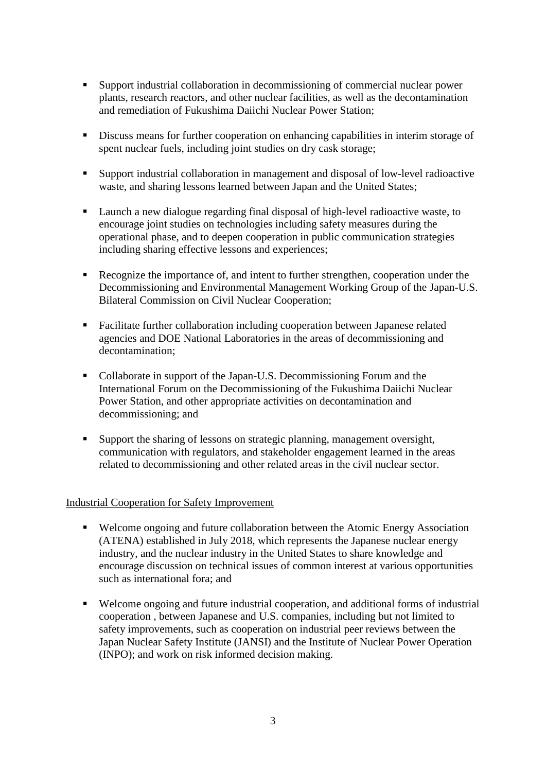- Support industrial collaboration in decommissioning of commercial nuclear power plants, research reactors, and other nuclear facilities, as well as the decontamination and remediation of Fukushima Daiichi Nuclear Power Station;
- Discuss means for further cooperation on enhancing capabilities in interim storage of spent nuclear fuels, including joint studies on dry cask storage;
- Support industrial collaboration in management and disposal of low-level radioactive waste, and sharing lessons learned between Japan and the United States;
- Launch a new dialogue regarding final disposal of high-level radioactive waste, to encourage joint studies on technologies including safety measures during the operational phase, and to deepen cooperation in public communication strategies including sharing effective lessons and experiences;
- Recognize the importance of, and intent to further strengthen, cooperation under the Decommissioning and Environmental Management Working Group of the Japan-U.S. Bilateral Commission on Civil Nuclear Cooperation;
- Facilitate further collaboration including cooperation between Japanese related agencies and DOE National Laboratories in the areas of decommissioning and decontamination;
- Collaborate in support of the Japan-U.S. Decommissioning Forum and the International Forum on the Decommissioning of the Fukushima Daiichi Nuclear Power Station, and other appropriate activities on decontamination and decommissioning; and
- Support the sharing of lessons on strategic planning, management oversight, communication with regulators, and stakeholder engagement learned in the areas related to decommissioning and other related areas in the civil nuclear sector.

### Industrial Cooperation for Safety Improvement

- Welcome ongoing and future collaboration between the Atomic Energy Association (ATENA) established in July 2018, which represents the Japanese nuclear energy industry, and the nuclear industry in the United States to share knowledge and encourage discussion on technical issues of common interest at various opportunities such as international fora; and
- Welcome ongoing and future industrial cooperation, and additional forms of industrial cooperation , between Japanese and U.S. companies, including but not limited to safety improvements, such as cooperation on industrial peer reviews between the Japan Nuclear Safety Institute (JANSI) and the Institute of Nuclear Power Operation (INPO); and work on risk informed decision making.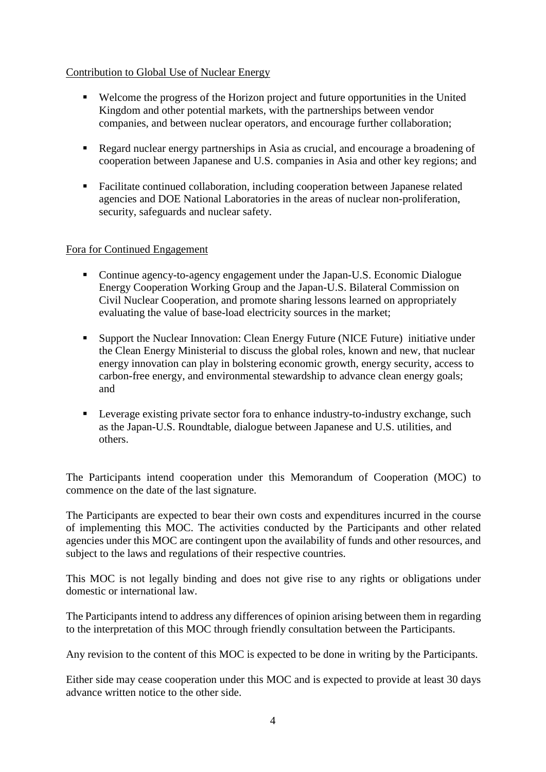## Contribution to Global Use of Nuclear Energy

- Welcome the progress of the Horizon project and future opportunities in the United Kingdom and other potential markets, with the partnerships between vendor companies, and between nuclear operators, and encourage further collaboration;
- Regard nuclear energy partnerships in Asia as crucial, and encourage a broadening of cooperation between Japanese and U.S. companies in Asia and other key regions; and
- Facilitate continued collaboration, including cooperation between Japanese related agencies and DOE National Laboratories in the areas of nuclear non-proliferation, security, safeguards and nuclear safety.

## Fora for Continued Engagement

- Continue agency-to-agency engagement under the Japan-U.S. Economic Dialogue Energy Cooperation Working Group and the Japan-U.S. Bilateral Commission on Civil Nuclear Cooperation, and promote sharing lessons learned on appropriately evaluating the value of base-load electricity sources in the market;
- Support the Nuclear Innovation: Clean Energy Future (NICE Future) initiative under the Clean Energy Ministerial to discuss the global roles, known and new, that nuclear energy innovation can play in bolstering economic growth, energy security, access to carbon-free energy, and environmental stewardship to advance clean energy goals; and
- **EXECUTE:** Leverage existing private sector fora to enhance industry-to-industry exchange, such as the Japan-U.S. Roundtable, dialogue between Japanese and U.S. utilities, and others.

The Participants intend cooperation under this Memorandum of Cooperation (MOC) to commence on the date of the last signature.

The Participants are expected to bear their own costs and expenditures incurred in the course of implementing this MOC. The activities conducted by the Participants and other related agencies under this MOC are contingent upon the availability of funds and other resources, and subject to the laws and regulations of their respective countries.

This MOC is not legally binding and does not give rise to any rights or obligations under domestic or international law.

The Participants intend to address any differences of opinion arising between them in regarding to the interpretation of this MOC through friendly consultation between the Participants.

Any revision to the content of this MOC is expected to be done in writing by the Participants.

Either side may cease cooperation under this MOC and is expected to provide at least 30 days advance written notice to the other side.